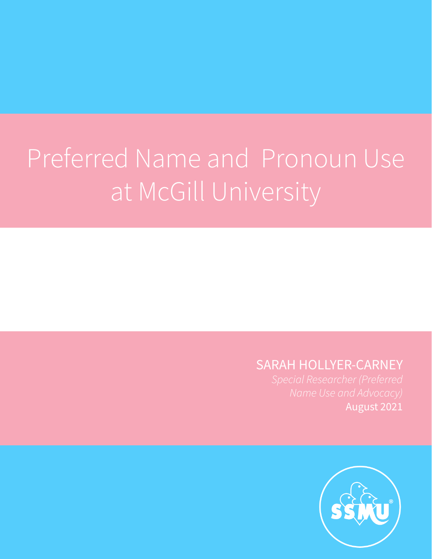### Preferred Name and Pronoun Use at McGill University

### SARAH HOLLYER-CARNEY

August 2021

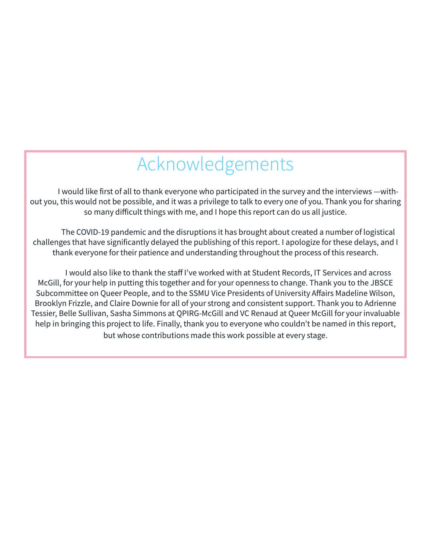### Acknowledgements

I would like first of all to thank everyone who participated in the survey and the interviews —without you, this would not be possible, and it was a privilege to talk to every one of you. Thank you for sharing so many difficult things with me, and I hope this report can do us all justice.

The COVID-19 pandemic and the disruptions it has brought about created a number of logistical challenges that have significantly delayed the publishing of this report. I apologize for these delays, and I thank everyone for their patience and understanding throughout the process of this research.

I would also like to thank the staff I've worked with at Student Records, IT Services and across McGill, for your help in putting this together and for your openness to change. Thank you to the JBSCE Subcommittee on Queer People, and to the SSMU Vice Presidents of University Affairs Madeline Wilson, Brooklyn Frizzle, and Claire Downie for all of your strong and consistent support. Thank you to Adrienne Tessier, Belle Sullivan, Sasha Simmons at QPIRG-McGill and VC Renaud at Queer McGill for your invaluable help in bringing this project to life. Finally, thank you to everyone who couldn't be named in this report, but whose contributions made this work possible at every stage.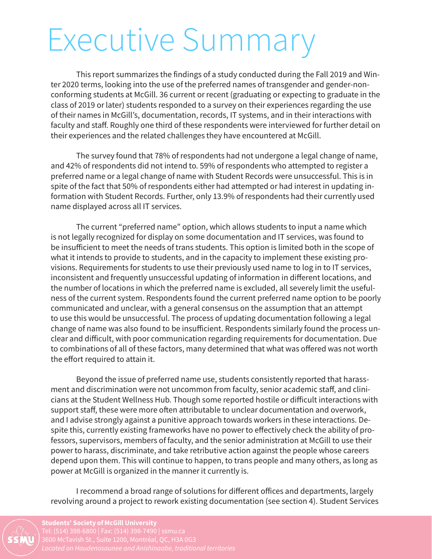### Executive Summary

This report summarizes the findings of a study conducted during the Fall 2019 and Winter 2020 terms, looking into the use of the preferred names of transgender and gender-nonconforming students at McGill. 36 current or recent (graduating or expecting to graduate in the class of 2019 or later) students responded to a survey on their experiences regarding the use of their names in McGill's, documentation, records, IT systems, and in their interactions with faculty and staff. Roughly one third of these respondents were interviewed for further detail on their experiences and the related challenges they have encountered at McGill.

The survey found that 78% of respondents had not undergone a legal change of name, and 42% of respondents did not intend to. 59% of respondents who attempted to register a preferred name or a legal change of name with Student Records were unsuccessful. This is in spite of the fact that 50% of respondents either had attempted or had interest in updating information with Student Records. Further, only 13.9% of respondents had their currently used name displayed across all IT services.

The current "preferred name" option, which allows students to input a name which is not legally recognized for display on some documentation and IT services, was found to be insufficient to meet the needs of trans students. This option is limited both in the scope of what it intends to provide to students, and in the capacity to implement these existing provisions. Requirements for students to use their previously used name to log in to IT services, inconsistent and frequently unsuccessful updating of information in different locations, and the number of locations in which the preferred name is excluded, all severely limit the usefulness of the current system. Respondents found the current preferred name option to be poorly communicated and unclear, with a general consensus on the assumption that an attempt to use this would be unsuccessful. The process of updating documentation following a legal change of name was also found to be insufficient. Respondents similarly found the process unclear and difficult, with poor communication regarding requirements for documentation. Due to combinations of all of these factors, many determined that what was offered was not worth the effort required to attain it.

Beyond the issue of preferred name use, students consistently reported that harassment and discrimination were not uncommon from faculty, senior academic staff, and clinicians at the Student Wellness Hub. Though some reported hostile or difficult interactions with support staff, these were more often attributable to unclear documentation and overwork, and I advise strongly against a punitive approach towards workers in these interactions. Despite this, currently existing frameworks have no power to effectively check the ability of professors, supervisors, members of faculty, and the senior administration at McGill to use their power to harass, discriminate, and take retributive action against the people whose careers depend upon them. This will continue to happen, to trans people and many others, as long as power at McGill is organized in the manner it currently is.

I recommend a broad range of solutions for different offices and departments, largely revolving around a project to rework existing documentation (see section 4). Student Services

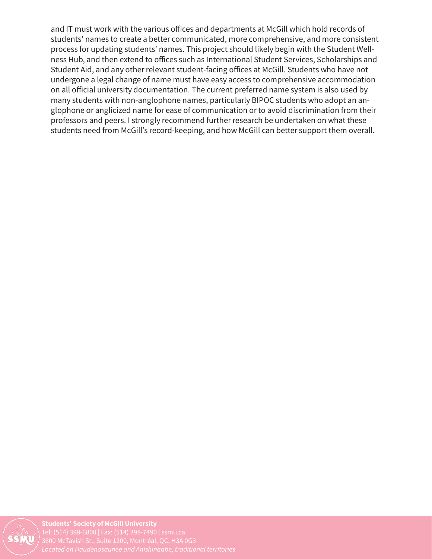and IT must work with the various offices and departments at McGill which hold records of students' names to create a better communicated, more comprehensive, and more consistent process for updating students' names. This project should likely begin with the Student Wellness Hub, and then extend to offices such as International Student Services, Scholarships and Student Aid, and any other relevant student-facing offices at McGill. Students who have not undergone a legal change of name must have easy access to comprehensive accommodation on all official university documentation. The current preferred name system is also used by many students with non-anglophone names, particularly BIPOC students who adopt an anglophone or anglicized name for ease of communication or to avoid discrimination from their professors and peers. I strongly recommend further research be undertaken on what these students need from McGill's record-keeping, and how McGill can better support them overall.

Students' Society of McGill University *Located on Haudenosaunee and Anishinaabe, traditional territories*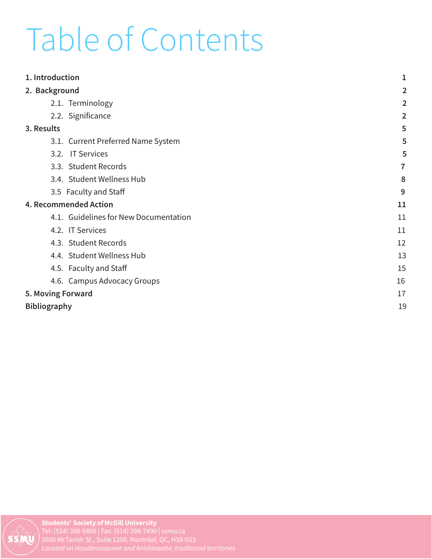### Table of Contents

| 1. Introduction                       | 1              |
|---------------------------------------|----------------|
| 2. Background                         | $\overline{2}$ |
| 2.1. Terminology                      | 2              |
| 2.2. Significance                     | $\overline{2}$ |
| 3. Results                            | 5              |
| 3.1. Current Preferred Name System    | 5              |
| 3.2. IT Services                      | 5              |
| 3.3. Student Records                  | 7              |
| 3.4. Student Wellness Hub             | 8              |
| 3.5 Faculty and Staff                 | 9              |
| 4. Recommended Action                 | 11             |
| 4.1. Guidelines for New Documentation | 11             |
| 4.2. IT Services                      | 11             |
| 4.3. Student Records                  | 12             |
| 4.4. Student Wellness Hub             | 13             |
| 4.5. Faculty and Staff                | 15             |
| 4.6. Campus Advocacy Groups           | 16             |
| 5. Moving Forward                     | 17             |
| <b>Bibliography</b>                   | 19             |
|                                       |                |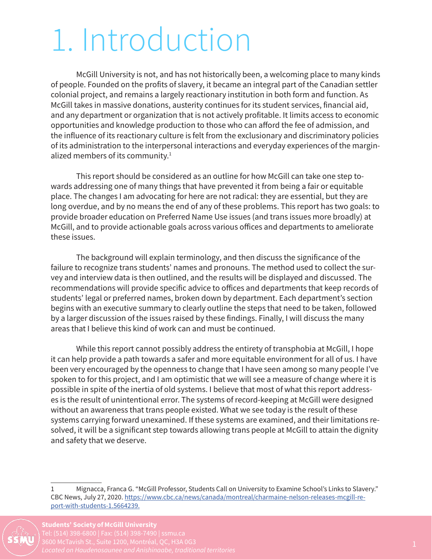### 1. Introduction

McGill University is not, and has not historically been, a welcoming place to many kinds of people. Founded on the profits of slavery, it became an integral part of the Canadian settler colonial project, and remains a largely reactionary institution in both form and function. As McGill takes in massive donations, austerity continues for its student services, financial aid, and any department or organization that is not actively profitable. It limits access to economic opportunities and knowledge production to those who can afford the fee of admission, and the influence of its reactionary culture is felt from the exclusionary and discriminatory policies of its administration to the interpersonal interactions and everyday experiences of the marginalized members of its community.<sup>1</sup>

This report should be considered as an outline for how McGill can take one step towards addressing one of many things that have prevented it from being a fair or equitable place. The changes I am advocating for here are not radical: they are essential, but they are long overdue, and by no means the end of any of these problems. This report has two goals: to provide broader education on Preferred Name Use issues (and trans issues more broadly) at McGill, and to provide actionable goals across various offices and departments to ameliorate these issues.

The background will explain terminology, and then discuss the significance of the failure to recognize trans students' names and pronouns. The method used to collect the survey and interview data is then outlined, and the results will be displayed and discussed. The recommendations will provide specific advice to offices and departments that keep records of students' legal or preferred names, broken down by department. Each department's section begins with an executive summary to clearly outline the steps that need to be taken, followed by a larger discussion of the issues raised by these findings. Finally, I will discuss the many areas that I believe this kind of work can and must be continued.

While this report cannot possibly address the entirety of transphobia at McGill, I hope it can help provide a path towards a safer and more equitable environment for all of us. I have been very encouraged by the openness to change that I have seen among so many people I've spoken to for this project, and I am optimistic that we will see a measure of change where it is possible in spite of the inertia of old systems. I believe that most of what this report addresses is the result of unintentional error. The systems of record-keeping at McGill were designed without an awareness that trans people existed. What we see today is the result of these systems carrying forward unexamined. If these systems are examined, and their limitations resolved, it will be a significant step towards allowing trans people at McGill to attain the dignity and safety that we deserve.

<sup>1</sup> Mignacca, Franca G. "McGill Professor, Students Call on University to Examine School's Links to Slavery." CBC News, July 27, 2020. https://www.cbc.ca/news/canada/montreal/charmaine-nelson-releases-mcgill-report-with-students-1.5664239.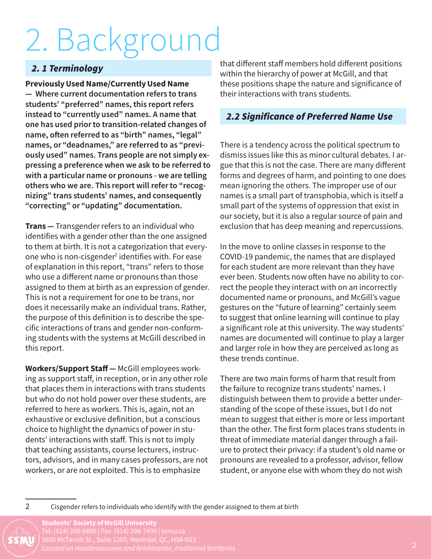# 2. Background

#### *2. 1 Terminology*

Previously Used Name/Currently Used Name — Where current documentation refers to trans students' "preferred" names, this report refers instead to "currently used" names. A name that one has used prior to transition-related changes of name, often referred to as "birth" names, "legal" names, or "deadnames," are referred to as "previously used" names. Trans people are not simply expressing a preference when we ask to be referred to with a particular name or pronouns - we are telling others who we are. This report will refer to "recognizing" trans students' names, and consequently "correcting" or "updating" documentation.

**Trans** – Transgender refers to an individual who identifies with a gender other than the one assigned to them at birth. It is not a categorization that everyone who is non-cisgender<sup>2</sup> identifies with. For ease of explanation in this report, "trans" refers to those who use a different name or pronouns than those assigned to them at birth as an expression of gender. This is not a requirement for one to be trans, nor does it necessarily make an individual trans. Rather, the purpose of this definition is to describe the specific interactions of trans and gender non-conforming students with the systems at McGill described in this report.

Workers/Support Staff — McGill employees working as support staff, in reception, or in any other role that places them in interactions with trans students but who do not hold power over these students, are referred to here as workers. This is, again, not an exhaustive or exclusive definition, but a conscious choice to highlight the dynamics of power in students' interactions with staff. This is not to imply that teaching assistants, course lecturers, instructors, advisors, and in many cases professors, are not workers, or are not exploited. This is to emphasize

that different staff members hold different positions within the hierarchy of power at McGill, and that these positions shape the nature and significance of their interactions with trans students.

#### *2.2 Significance of Preferred Name Use*

There is a tendency across the political spectrum to dismiss issues like this as minor cultural debates. I argue that this is not the case. There are many different forms and degrees of harm, and pointing to one does mean ignoring the others. The improper use of our names is a small part of transphobia, which is itself a small part of the systems of oppression that exist in our society, but it is also a regular source of pain and exclusion that has deep meaning and repercussions.

In the move to online classes in response to the COVID-19 pandemic, the names that are displayed for each student are more relevant than they have ever been. Students now often have no ability to correct the people they interact with on an incorrectly documented name or pronouns, and McGill's vague gestures on the "future of learning" certainly seem to suggest that online learning will continue to play a significant role at this university. The way students' names are documented will continue to play a larger and larger role in how they are perceived as long as these trends continue.

There are two main forms of harm that result from the failure to recognize trans students' names. I distinguish between them to provide a better understanding of the scope of these issues, but I do not mean to suggest that either is more or less important than the other. The first form places trans students in threat of immediate material danger through a failure to protect their privacy: if a student's old name or pronouns are revealed to a professor, advisor, fellow student, or anyone else with whom they do not wish

<sup>2</sup> Cisgender refers to individuals who identify with the gender assigned to them at birth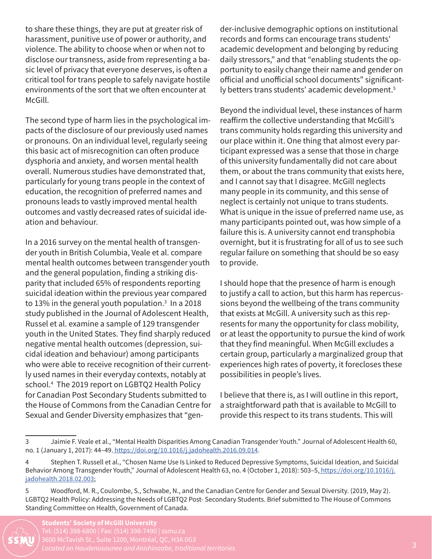to share these things, they are put at greater risk of harassment, punitive use of power or authority, and violence. The ability to choose when or when not to disclose our transness, aside from representing a basic level of privacy that everyone deserves, is often a critical tool for trans people to safely navigate hostile environments of the sort that we often encounter at McGill.

The second type of harm lies in the psychological impacts of the disclosure of our previously used names or pronouns. On an individual level, regularly seeing this basic act of misrecognition can often produce dysphoria and anxiety, and worsen mental health overall. Numerous studies have demonstrated that, particularly for young trans people in the context of education, the recognition of preferred names and pronouns leads to vastly improved mental health outcomes and vastly decreased rates of suicidal ideation and behaviour.

In a 2016 survey on the mental health of transgender youth in British Columbia, Veale et al. compare mental health outcomes between transgender youth and the general population, finding a striking disparity that included 65% of respondents reporting suicidal ideation within the previous year compared to 13% in the general youth population.<sup>3</sup> In a 2018 study published in the Journal of Adolescent Health, Russel et al. examine a sample of 129 transgender youth in the United States. They find sharply reduced negative mental health outcomes (depression, suicidal ideation and behaviour) among participants who were able to receive recognition of their currently used names in their everyday contexts, notably at school.4 The 2019 report on LGBTQ2 Health Policy for Canadian Post Secondary Students submitted to the House of Commons from the Canadian Centre for Sexual and Gender Diversity emphasizes that "gender-inclusive demographic options on institutional records and forms can encourage trans students' academic development and belonging by reducing daily stressors," and that "enabling students the opportunity to easily change their name and gender on official and unofficial school documents" significantly betters trans students' academic development.<sup>5</sup>

Beyond the individual level, these instances of harm reaffirm the collective understanding that McGill's trans community holds regarding this university and our place within it. One thing that almost every participant expressed was a sense that those in charge of this university fundamentally did not care about them, or about the trans community that exists here, and I cannot say that I disagree. McGill neglects many people in its community, and this sense of neglect is certainly not unique to trans students. What is unique in the issue of preferred name use, as many participants pointed out, was how simple of a failure this is. A university cannot end transphobia overnight, but it is frustrating for all of us to see such regular failure on something that should be so easy to provide.

I should hope that the presence of harm is enough to justify a call to action, but this harm has repercussions beyond the wellbeing of the trans community that exists at McGill. A university such as this represents for many the opportunity for class mobility, or at least the opportunity to pursue the kind of work that they find meaningful. When McGill excludes a certain group, particularly a marginalized group that experiences high rates of poverty, it forecloses these possibilities in people's lives.

I believe that there is, as I will outline in this report, a straightforward path that is available to McGill to provide this respect to its trans students. This will

<sup>5</sup> Woodford, M. R., Coulombe, S., Schwabe, N., and the Canadian Centre for Gender and Sexual Diversity. (2019, May 2). LGBTQ2 Health Policy: Addressing the Needs of LGBTQ2 Post- Secondary Students. Brief submitted to The House of Commons Standing Committee on Health, Government of Canada.



<sup>3</sup> Jaimie F. Veale et al., "Mental Health Disparities Among Canadian Transgender Youth." Journal of Adolescent Health 60, no. 1 (January 1, 2017): 44–49. https://doi.org/10.1016/j.jadohealth.2016.09.014.

<sup>4</sup> Stephen T. Russell et al., "Chosen Name Use Is Linked to Reduced Depressive Symptoms, Suicidal Ideation, and Suicidal Behavior Among Transgender Youth," Journal of Adolescent Health 63, no. 4 (October 1, 2018): 503–5, https://doi.org/10.1016/j. jadohealth.2018.02.003;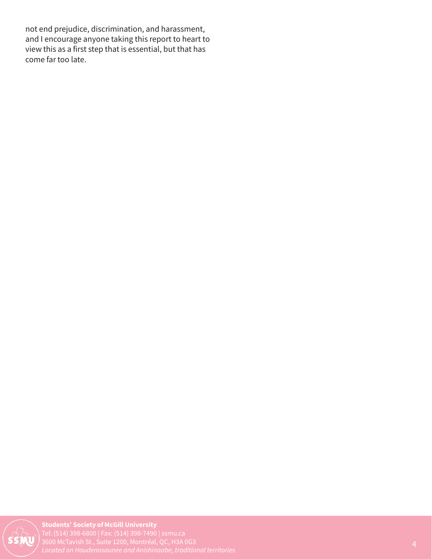not end prejudice, discrimination, and harassment, and I encourage anyone taking this report to heart to view this as a first step that is essential, but that has come far too late.

Students' Society of McGill University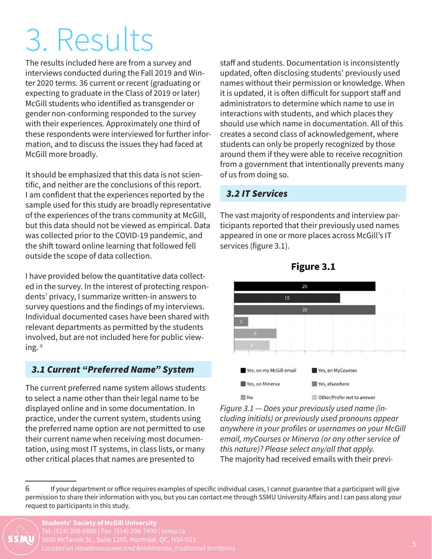### 3. Results

The results included here are from a survey and interviews conducted during the Fall 2019 and Winter 2020 terms. 36 current or recent (graduating or expecting to graduate in the Class of 2019 or later) McGill students who identified as transgender or gender non-conforming responded to the survey with their experiences. Approximately one third of these respondents were interviewed for further information, and to discuss the issues they had faced at McGill more broadly.

It should be emphasized that this data is not scientific, and neither are the conclusions of this report. I am confident that the experiences reported by the sample used for this study are broadly representative of the experiences of the trans community at McGill, but this data should not be viewed as empirical. Data was collected prior to the COVID-19 pandemic, and the shift toward online learning that followed fell outside the scope of data collection.

I have provided below the quantitative data collected in the survey. In the interest of protecting respondents' privacy, I summarize written-in answers to survey questions and the findings of my interviews. Individual documented cases have been shared with relevant departments as permitted by the students involved, but are not included here for public viewing. 6

#### *3.1 Current "Preferred Name" System*

The current preferred name system allows students to select a name other than their legal name to be displayed online and in some documentation. In practice, under the current system, students using the preferred name option are not permitted to use their current name when receiving most documentation, using most IT systems, in class lists, or many other critical places that names are presented to

staff and students. Documentation is inconsistently updated, often disclosing students' previously used names without their permission or knowledge. When it is updated, it is often difficult for support staff and administrators to determine which name to use in interactions with students, and which places they should use which name in documentation. All of this creates a second class of acknowledgement, where students can only be properly recognized by those around them if they were able to receive recognition from a government that intentionally prevents many of us from doing so.

#### *3.2 IT Services*

The vast majority of respondents and interview participants reported that their previously used names appeared in one or more places across McGill's IT services (figure 3.1).





*Figure 3.1 — Does your previously used name (including initials) or previously used pronouns appear anywhere in your profiles or usernames on your McGill email, myCourses or Minerva (or any other service of this nature)? Please select any/all that apply.* The majority had received emails with their previ-

<sup>6</sup> If your department or office requires examples of specific individual cases, I cannot guarantee that a participant will give permission to share their information with you, but you can contact me through SSMU University Affairs and I can pass along your request to participants in this study.

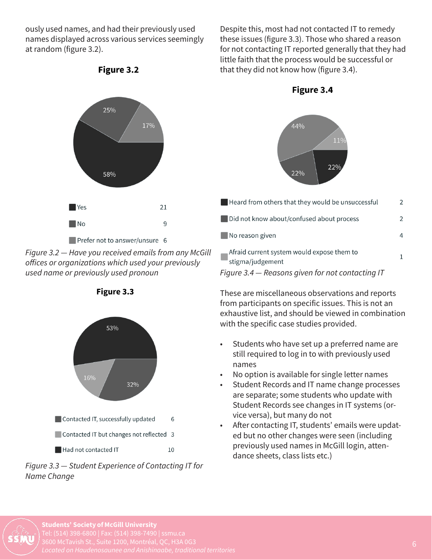ously used names, and had their previously used names displayed across various services seemingly at random (figure 3.2).



Figure 3.2

*Figure 3.2 — Have you received emails from any McGill offices or organizations which used your previously used name or previously used pronoun*

Figure 3.3



*Figure 3.3 — Student Experience of Contacting IT for Name Change*

Despite this, most had not contacted IT to remedy these issues (figure 3.3). Those who shared a reason for not contacting IT reported generally that they had little faith that the process would be successful or that they did not know how (figure 3.4).





| $\blacksquare$ Heard from others that they would be unsuccessful | 2 |
|------------------------------------------------------------------|---|
| Did not know about/confused about process                        | 2 |
| No reason given                                                  |   |
| Afraid current system would expose them to<br>stigma/judgement   |   |
| Figure 3.4 – Reasons given for not contacting IT                 |   |

These are miscellaneous observations and reports from participants on specific issues. This is not an exhaustive list, and should be viewed in combination with the specific case studies provided.

- Students who have set up a preferred name are still required to log in to with previously used names
- No option is available for single letter names
- Student Records and IT name change processes are separate; some students who update with Student Records see changes in IT systems (orvice versa), but many do not
- After contacting IT, students' emails were updated but no other changes were seen (including previously used names in McGill login, attendance sheets, class lists etc.)

Students' Society of McGill University 3600 McTavish St., Suite 1200, Montréal, QC, H3A 0G3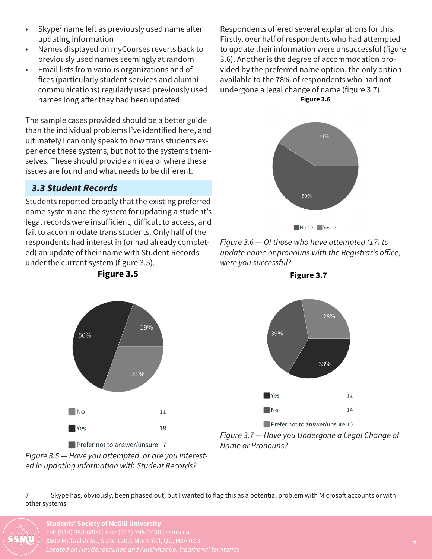- $\cdot$  Skype<sup>7</sup> name left as previously used name after updating information
- Names displayed on myCourses reverts back to previously used names seemingly at random
- Email lists from various organizations and offices (particularly student services and alumni communications) regularly used previously used names long after they had been updated

The sample cases provided should be a better guide than the individual problems I've identified here, and ultimately I can only speak to how trans students experience these systems, but not to the systems themselves. These should provide an idea of where these issues are found and what needs to be different.

#### *3.3 Student Records*

50%

 $\blacksquare$ No

 $\blacksquare$  Yes

Students reported broadly that the existing preferred name system and the system for updating a student's legal records were insufficient, difficult to access, and fail to accommodate trans students. Only half of the respondents had interest in (or had already completed) an update of their name with Student Records under the current system (figure 3.5).<br>**Figure 3.5** 

19%

31%

 $11$ 

18

Respondents offered several explanations for this. Firstly, over half of respondents who had attempted to update their information were unsuccessful (figure 3.6). Another is the degree of accommodation provided by the preferred name option, the only option available to the 78% of respondents who had not undergone a legal change of name (figure 3.7).

Figure 3.6





*Figure 3.6 — Of those who have attempted (17) to update name or pronouns with the Registrar's office, were you successful?*





*Name or Pronouns?*



 $\blacksquare$  Prefer not to answer/unsure 7 *Figure 3.5 — Have you attempted, or are you interested in updating information with Student Records?*

<sup>7</sup> Skype has, obviously, been phased out, but I wanted to flag this as a potential problem with Microsoft accounts or with other systems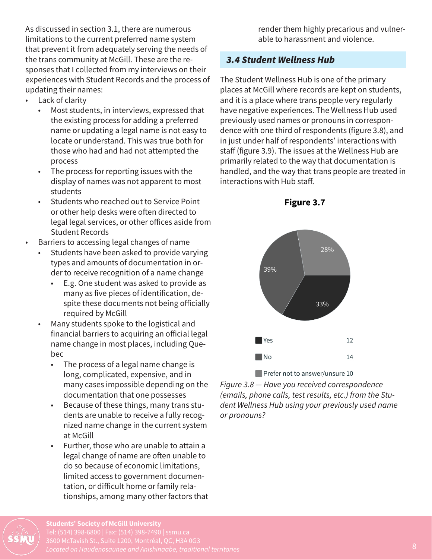As discussed in section 3.1, there are numerous limitations to the current preferred name system that prevent it from adequately serving the needs of the trans community at McGill. These are the responses that I collected from my interviews on their experiences with Student Records and the process of updating their names:

- Lack of clarity
	- Most students, in interviews, expressed that the existing process for adding a preferred name or updating a legal name is not easy to locate or understand. This was true both for those who had and had not attempted the process
	- The process for reporting issues with the display of names was not apparent to most students
	- Students who reached out to Service Point or other help desks were often directed to legal legal services, or other offices aside from Student Records
- Barriers to accessing legal changes of name
	- Students have been asked to provide varying types and amounts of documentation in order to receive recognition of a name change
		- E.g. One student was asked to provide as many as five pieces of identification, despite these documents not being officially required by McGill
	- Many students spoke to the logistical and financial barriers to acquiring an official legal name change in most places, including Quebec
		- The process of a legal name change is long, complicated, expensive, and in many cases impossible depending on the documentation that one possesses
		- Because of these things, many trans students are unable to receive a fully recognized name change in the current system at McGill
		- Further, those who are unable to attain a legal change of name are often unable to do so because of economic limitations, limited access to government documentation, or difficult home or family relationships, among many other factors that

render them highly precarious and vulnerable to harassment and violence.

#### *3.4 Student Wellness Hub*

The Student Wellness Hub is one of the primary places at McGill where records are kept on students, and it is a place where trans people very regularly have negative experiences. The Wellness Hub used previously used names or pronouns in correspondence with one third of respondents (figure 3.8), and in just under half of respondents' interactions with staff (figure 3.9). The issues at the Wellness Hub are primarily related to the way that documentation is handled, and the way that trans people are treated in interactions with Hub staff.



Figure 3.7

Prefer not to answer/unsure 10

*Figure 3.8 — Have you received correspondence (emails, phone calls, test results, etc.) from the Student Wellness Hub using your previously used name or pronouns?*

Students' Society of McGill University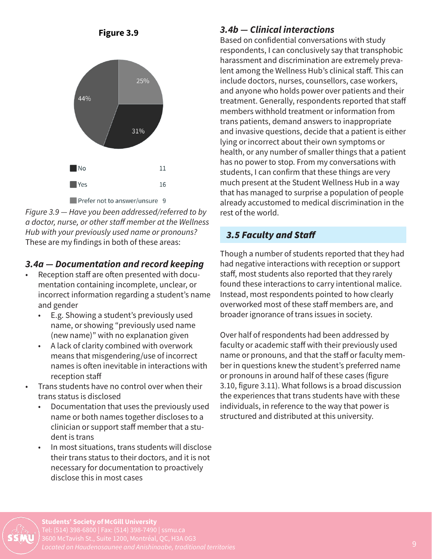



*Figure 3.9 — Have you been addressed/referred to by a doctor, nurse, or other staff member at the Wellness Hub with your previously used name or pronouns?* These are my findings in both of these areas:

#### *3.4a — Documentation and record keeping*

- Reception staff are often presented with documentation containing incomplete, unclear, or incorrect information regarding a student's name and gender
	- E.g. Showing a student's previously used name, or showing "previously used name (new name)" with no explanation given
	- A lack of clarity combined with overwork means that misgendering/use of incorrect names is often inevitable in interactions with reception staff
- Trans students have no control over when their trans status is disclosed
	- Documentation that uses the previously used name or both names together discloses to a clinician or support staff member that a student is trans
	- In most situations, trans students will disclose their trans status to their doctors, and it is not necessary for documentation to proactively disclose this in most cases

#### *3.4b — Clinical interactions*

Based on confidential conversations with study respondents, I can conclusively say that transphobic harassment and discrimination are extremely prevalent among the Wellness Hub's clinical staff. This can include doctors, nurses, counsellors, case workers, and anyone who holds power over patients and their treatment. Generally, respondents reported that staff members withhold treatment or information from trans patients, demand answers to inappropriate and invasive questions, decide that a patient is either lying or incorrect about their own symptoms or health, or any number of smaller things that a patient has no power to stop. From my conversations with students, I can confirm that these things are very much present at the Student Wellness Hub in a way that has managed to surprise a population of people already accustomed to medical discrimination in the rest of the world.

#### *3.5 Faculty and Staff*

Though a number of students reported that they had had negative interactions with reception or support staff, most students also reported that they rarely found these interactions to carry intentional malice. Instead, most respondents pointed to how clearly overworked most of these staff members are, and broader ignorance of trans issues in society.

Over half of respondents had been addressed by faculty or academic staff with their previously used name or pronouns, and that the staff or faculty member in questions knew the student's preferred name or pronouns in around half of these cases (figure 3.10, figure 3.11). What follows is a broad discussion the experiences that trans students have with these individuals, in reference to the way that power is structured and distributed at this university.

Students' Society of McGill University 3600 McTavish St., Suite 1200, Montréal, QC, H3A 0G3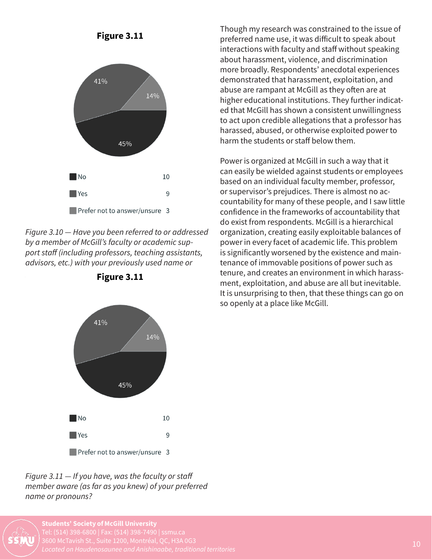

*Figure 3.10 — Have you been referred to or addressed by a member of McGill's faculty or academic support staff (including professors, teaching assistants, advisors, etc.) with your previously used name or* 



Figure 3.11

*Figure 3.11 — If you have, was the faculty or staff member aware (as far as you knew) of your preferred name or pronouns?*

Students' Society of McGill University *Located on Haudenosaunee and Anishinaabe, traditional territories*

Though my research was constrained to the issue of preferred name use, it was difficult to speak about interactions with faculty and staff without speaking about harassment, violence, and discrimination more broadly. Respondents' anecdotal experiences demonstrated that harassment, exploitation, and abuse are rampant at McGill as they often are at higher educational institutions. They further indicated that McGill has shown a consistent unwillingness to act upon credible allegations that a professor has harassed, abused, or otherwise exploited power to harm the students or staff below them.

Power is organized at McGill in such a way that it can easily be wielded against students or employees based on an individual faculty member, professor, or supervisor's prejudices. There is almost no accountability for many of these people, and I saw little confidence in the frameworks of accountability that do exist from respondents. McGill is a hierarchical organization, creating easily exploitable balances of power in every facet of academic life. This problem is significantly worsened by the existence and maintenance of immovable positions of power such as tenure, and creates an environment in which harassment, exploitation, and abuse are all but inevitable. It is unsurprising to then, that these things can go on so openly at a place like McGill.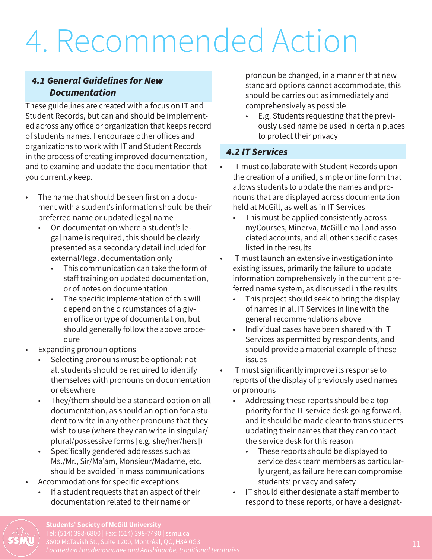### 4. Recommended Action

#### *4.1 General Guidelines for New Documentation*

These guidelines are created with a focus on IT and Student Records, but can and should be implemented across any office or organization that keeps record of students names. I encourage other offices and organizations to work with IT and Student Records in the process of creating improved documentation, and to examine and update the documentation that you currently keep.

- The name that should be seen first on a document with a student's information should be their preferred name or updated legal name
	- On documentation where a student's legal name is required, this should be clearly presented as a secondary detail included for external/legal documentation only
		- This communication can take the form of staff training on updated documentation, or of notes on documentation
		- The specific implementation of this will depend on the circumstances of a given office or type of documentation, but should generally follow the above procedure
	- Expanding pronoun options
		- Selecting pronouns must be optional: not all students should be required to identify themselves with pronouns on documentation or elsewhere
		- They/them should be a standard option on all documentation, as should an option for a student to write in any other pronouns that they wish to use (where they can write in singular/ plural/possessive forms [e.g. she/her/hers])
		- Specifically gendered addresses such as Ms./Mr., Sir/Ma'am, Monsieur/Madame, etc. should be avoided in mass communications
- Accommodations for specific exceptions
	- If a student requests that an aspect of their documentation related to their name or

pronoun be changed, in a manner that new standard options cannot accommodate, this should be carries out as immediately and comprehensively as possible

• E.g. Students requesting that the previously used name be used in certain places to protect their privacy

#### *4.2 IT Services*

- IT must collaborate with Student Records upon the creation of a unified, simple online form that allows students to update the names and pronouns that are displayed across documentation held at McGill, as well as in IT Services
	- This must be applied consistently across myCourses, Minerva, McGill email and associated accounts, and all other specific cases listed in the results
- IT must launch an extensive investigation into existing issues, primarily the failure to update information comprehensively in the current preferred name system, as discussed in the results
	- This project should seek to bring the display of names in all IT Services in line with the general recommendations above
	- Individual cases have been shared with IT Services as permitted by respondents, and should provide a material example of these issues
- IT must significantly improve its response to reports of the display of previously used names or pronouns
	- Addressing these reports should be a top priority for the IT service desk going forward, and it should be made clear to trans students updating their names that they can contact the service desk for this reason
		- These reports should be displayed to service desk team members as particularly urgent, as failure here can compromise students' privacy and safety
	- IT should either designate a staff member to respond to these reports, or have a designat-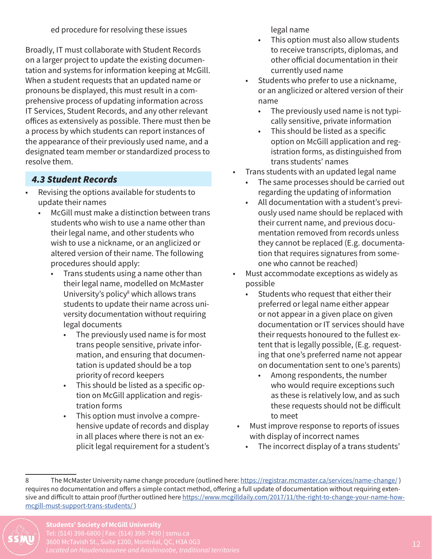ed procedure for resolving these issues

Broadly, IT must collaborate with Student Records on a larger project to update the existing documentation and systems for information keeping at McGill. When a student requests that an updated name or pronouns be displayed, this must result in a comprehensive process of updating information across IT Services, Student Records, and any other relevant offices as extensively as possible. There must then be a process by which students can report instances of the appearance of their previously used name, and a designated team member or standardized process to resolve them.

#### *4.3 Student Records*

- Revising the options available for students to update their names
	- McGill must make a distinction between trans students who wish to use a name other than their legal name, and other students who wish to use a nickname, or an anglicized or altered version of their name. The following procedures should apply:
		- Trans students using a name other than their legal name, modelled on McMaster University's policy<sup>8</sup> which allows trans students to update their name across university documentation without requiring legal documents
			- The previously used name is for most trans people sensitive, private information, and ensuring that documentation is updated should be a top priority of record keepers
			- This should be listed as a specific option on McGill application and registration forms
			- This option must involve a comprehensive update of records and display in all places where there is not an explicit legal requirement for a student's

legal name

- This option must also allow students to receive transcripts, diplomas, and other official documentation in their currently used name
- Students who prefer to use a nickname, or an anglicized or altered version of their name
	- The previously used name is not typically sensitive, private information
	- This should be listed as a specific option on McGill application and registration forms, as distinguished from trans students' names
- Trans students with an updated legal name
	- The same processes should be carried out regarding the updating of information
	- All documentation with a student's previously used name should be replaced with their current name, and previous documentation removed from records unless they cannot be replaced (E.g. documentation that requires signatures from someone who cannot be reached)
- Must accommodate exceptions as widely as possible
	- Students who request that either their preferred or legal name either appear or not appear in a given place on given documentation or IT services should have their requests honoured to the fullest extent that is legally possible, (E.g. requesting that one's preferred name not appear on documentation sent to one's parents)
		- Among respondents, the number who would require exceptions such as these is relatively low, and as such these requests should not be difficult to meet
- Must improve response to reports of issues with display of incorrect names
	- The incorrect display of a trans students'

<sup>8</sup> The McMaster University name change procedure (outlined here: https://registrar.mcmaster.ca/services/name-change/) requires no documentation and offers a simple contact method, offering a full update of documentation without requiring extensive and difficult to attain proof (further outlined here https://www.mcgilldaily.com/2017/11/the-right-to-change-your-name-howmcgill-must-support-trans-students/ )

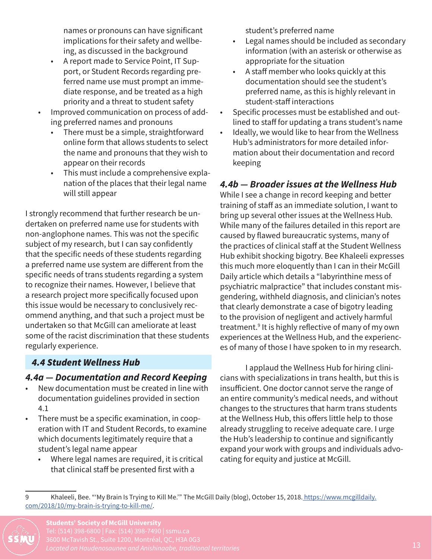names or pronouns can have significant implications for their safety and wellbeing, as discussed in the background

- A report made to Service Point, IT Support, or Student Records regarding preferred name use must prompt an immediate response, and be treated as a high priority and a threat to student safety
- Improved communication on process of adding preferred names and pronouns
	- There must be a simple, straightforward online form that allows students to select the name and pronouns that they wish to appear on their records
	- This must include a comprehensive explanation of the places that their legal name will still appear

I strongly recommend that further research be undertaken on preferred name use for students with non-anglophone names. This was not the specific subject of my research, but I can say confidently that the specific needs of these students regarding a preferred name use system are different from the specific needs of trans students regarding a system to recognize their names. However, I believe that a research project more specifically focused upon this issue would be necessary to conclusively recommend anything, and that such a project must be undertaken so that McGill can ameliorate at least some of the racist discrimination that these students regularly experience.

#### *4.4 Student Wellness Hub*

#### *4.4a — Documentation and Record Keeping*

- New documentation must be created in line with documentation guidelines provided in section 4.1
- There must be a specific examination, in cooperation with IT and Student Records, to examine which documents legitimately require that a student's legal name appear
	- Where legal names are required, it is critical that clinical staff be presented first with a

student's preferred name

- Legal names should be included as secondary information (with an asterisk or otherwise as appropriate for the situation
- A staff member who looks quickly at this documentation should see the student's preferred name, as this is highly relevant in student-staff interactions
- Specific processes must be established and outlined to staff for updating a trans student's name
- Ideally, we would like to hear from the Wellness Hub's administrators for more detailed information about their documentation and record keeping

#### *4.4b — Broader issues at the Wellness Hub*

While I see a change in record keeping and better training of staff as an immediate solution, I want to bring up several other issues at the Wellness Hub. While many of the failures detailed in this report are caused by flawed bureaucratic systems, many of the practices of clinical staff at the Student Wellness Hub exhibit shocking bigotry. Bee Khaleeli expresses this much more eloquently than I can in their McGill Daily article which details a "labyrinthine mess of psychiatric malpractice" that includes constant misgendering, withheld diagnosis, and clinician's notes that clearly demonstrate a case of bigotry leading to the provision of negligent and actively harmful treatment.9 It is highly reflective of many of my own experiences at the Wellness Hub, and the experiences of many of those I have spoken to in my research.

I applaud the Wellness Hub for hiring clinicians with specializations in trans health, but this is insufficient. One doctor cannot serve the range of an entire community's medical needs, and without changes to the structures that harm trans students at the Wellness Hub, this offers little help to those already struggling to receive adequate care. I urge the Hub's leadership to continue and significantly expand your work with groups and individuals advocating for equity and justice at McGill.

<sup>9</sup> Khaleeli, Bee. "'My Brain Is Trying to Kill Me.'" The McGill Daily (blog), October 15, 2018. https://www.mcgilldaily. com/2018/10/my-brain-is-trying-to-kill-me/.

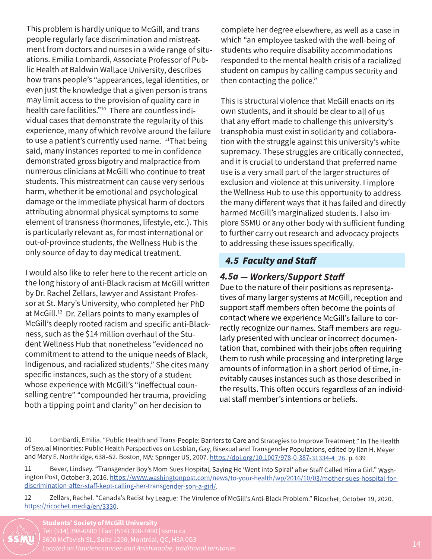This problem is hardly unique to McGill, and trans people regularly face discrimination and mistreatment from doctors and nurses in a wide range of situations. Emilia Lombardi, Associate Professor of Public Health at Baldwin Wallace University, describes how trans people's "appearances, legal identities, or even just the knowledge that a given person is trans may limit access to the provision of quality care in health care facilities."10 There are countless individual cases that demonstrate the regularity of this experience, many of which revolve around the failure to use a patient's currently used name. <sup>11</sup>That being said, many instances reported to me in confidence demonstrated gross bigotry and malpractice from numerous clinicians at McGill who continue to treat students. This mistreatment can cause very serious harm, whether it be emotional and psychological damage or the immediate physical harm of doctors attributing abnormal physical symptoms to some element of transness (hormones, lifestyle, etc.). This is particularly relevant as, for most international or out-of-province students, the Wellness Hub is the only source of day to day medical treatment.

I would also like to refer here to the recent article on the long history of anti-Black racism at McGill written by Dr. Rachel Zellars, lawyer and Assistant Professor at St. Mary's University, who completed her PhD at McGill.<sup>12</sup> Dr. Zellars points to many examples of McGill's deeply rooted racism and specific anti-Blackness, such as the \$14 million overhaul of the Student Wellness Hub that nonetheless "evidenced no commitment to attend to the unique needs of Black, Indigenous, and racialized students." She cites many specific instances, such as the story of a student whose experience with McGill's "ineffectual counselling centre" "compounded her trauma, providing both a tipping point and clarity" on her decision to

complete her degree elsewhere, as well as a case in which "an employee tasked with the well-being of students who require disability accommodations responded to the mental health crisis of a racialized student on campus by calling campus security and then contacting the police."

This is structural violence that McGill enacts on its own students, and it should be clear to all of us that any effort made to challenge this university's transphobia must exist in solidarity and collaboration with the struggle against this university's white supremacy. These struggles are critically connected, and it is crucial to understand that preferred name use is a very small part of the larger structures of exclusion and violence at this university. I implore the Wellness Hub to use this opportunity to address the many different ways that it has failed and directly harmed McGill's marginalized students. I also implore SSMU or any other body with sufficient funding to further carry out research and advocacy projects to addressing these issues specifically.

#### *4.5 Faculty and Staff*

#### *4.5a — Workers/Support Staff*

Due to the nature of their positions as representatives of many larger systems at McGill, reception and support staff members often become the points of contact where we experience McGill's failure to correctly recognize our names. Staff members are regularly presented with unclear or incorrect documentation that, combined with their jobs often requiring them to rush while processing and interpreting large amounts of information in a short period of time, inevitably causes instances such as those described in the results. This often occurs regardless of an individual staff member's intentions or beliefs.

<sup>12</sup> Zellars, Rachel. "Canada's Racist Ivy League: The Virulence of McGill's Anti-Black Problem." Ricochet, October 19, 2020. https://ricochet.media/en/3330.



<sup>10</sup> Lombardi, Emilia. "Public Health and Trans-People: Barriers to Care and Strategies to Improve Treatment." In The Health of Sexual Minorities: Public Health Perspectives on Lesbian, Gay, Bisexual and Transgender Populations, edited by Ilan H. Meyer and Mary E. Northridge, 638-52. Boston, MA: Springer US, 2007. https://doi.org/10.1007/978-0-387-31334-4\_26. p. 639

<sup>11</sup> Bever, Lindsey. "Transgender Boy's Mom Sues Hospital, Saying He 'Went into Spiral' after Staff Called Him a Girl." Washington Post, October 3, 2016. https://www.washingtonpost.com/news/to-your-health/wp/2016/10/03/mother-sues-hospital-fordiscrimination-after-staff-kept-calling-her-transgender-son-a-girl/.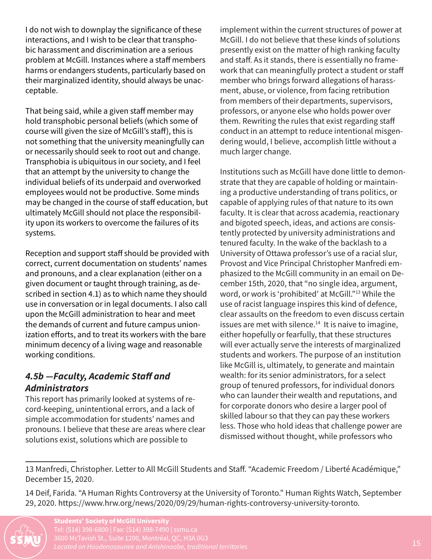I do not wish to downplay the significance of these interactions, and I wish to be clear that transphobic harassment and discrimination are a serious problem at McGill. Instances where a staff members harms or endangers students, particularly based on their marginalized identity, should always be unacceptable.

That being said, while a given staff member may hold transphobic personal beliefs (which some of course will given the size of McGill's staff), this is not something that the university meaningfully can or necessarily should seek to root out and change. Transphobia is ubiquitous in our society, and I feel that an attempt by the university to change the individual beliefs of its underpaid and overworked employees would not be productive. Some minds may be changed in the course of staff education, but ultimately McGill should not place the responsibility upon its workers to overcome the failures of its systems.

Reception and support staff should be provided with correct, current documentation on students' names and pronouns, and a clear explanation (either on a given document or taught through training, as described in section 4.1) as to which name they should use in conversation or in legal documents. I also call upon the McGill administration to hear and meet the demands of current and future campus unionization efforts, and to treat its workers with the bare minimum decency of a living wage and reasonable working conditions.

#### *4.5b —Faculty, Academic Staff and Administrators*

This report has primarily looked at systems of record-keeping, unintentional errors, and a lack of simple accommodation for students' names and pronouns. I believe that these are areas where clear solutions exist, solutions which are possible to

implement within the current structures of power at McGill. I do not believe that these kinds of solutions presently exist on the matter of high ranking faculty and staff. As it stands, there is essentially no framework that can meaningfully protect a student or staff member who brings forward allegations of harassment, abuse, or violence, from facing retribution from members of their departments, supervisors, professors, or anyone else who holds power over them. Rewriting the rules that exist regarding staff conduct in an attempt to reduce intentional misgendering would, I believe, accomplish little without a much larger change.

Institutions such as McGill have done little to demonstrate that they are capable of holding or maintaining a productive understanding of trans politics, or capable of applying rules of that nature to its own faculty. It is clear that across academia, reactionary and bigoted speech, ideas, and actions are consistently protected by university administrations and tenured faculty. In the wake of the backlash to a University of Ottawa professor's use of a racial slur, Provost and Vice Principal Christopher Manfredi emphasized to the McGill community in an email on December 15th, 2020, that "no single idea, argument, word, or work is 'prohibited' at McGill."13 While the use of racist language inspires this kind of defence, clear assaults on the freedom to even discuss certain issues are met with silence. $14$  It is naive to imagine, either hopefully or fearfully, that these structures will ever actually serve the interests of marginalized students and workers. The purpose of an institution like McGill is, ultimately, to generate and maintain wealth: for its senior administrators, for a select group of tenured professors, for individual donors who can launder their wealth and reputations, and for corporate donors who desire a larger pool of skilled labour so that they can pay these workers less. Those who hold ideas that challenge power are dismissed without thought, while professors who

<sup>14</sup> Deif, Farida. "A Human Rights Controversy at the University of Toronto." Human Rights Watch, September 29, 2020. https://www.hrw.org/news/2020/09/29/human-rights-controversy-university-toronto.



<sup>13</sup> Manfredi, Christopher. Letter to All McGill Students and Staff. "Academic Freedom / Liberté Académique," December 15, 2020.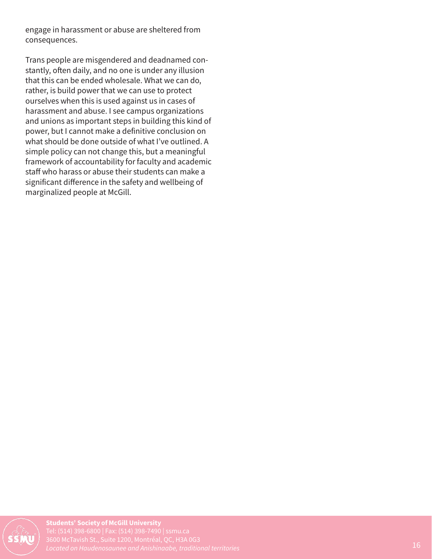engage in harassment or abuse are sheltered from consequences.

Trans people are misgendered and deadnamed constantly, often daily, and no one is under any illusion that this can be ended wholesale. What we can do, rather, is build power that we can use to protect ourselves when this is used against us in cases of harassment and abuse. I see campus organizations and unions as important steps in building this kind of power, but I cannot make a definitive conclusion on what should be done outside of what I've outlined. A simple policy can not change this, but a meaningful framework of accountability for faculty and academic staff who harass or abuse their students can make a significant difference in the safety and wellbeing of marginalized people at McGill.



Students' Society of McGill University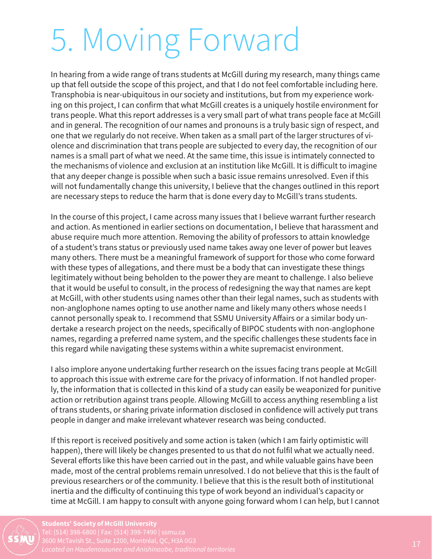### 5. Moving Forward

In hearing from a wide range of trans students at McGill during my research, many things came up that fell outside the scope of this project, and that I do not feel comfortable including here. Transphobia is near-ubiquitous in our society and institutions, but from my experience working on this project, I can confirm that what McGill creates is a uniquely hostile environment for trans people. What this report addresses is a very small part of what trans people face at McGill and in general. The recognition of our names and pronouns is a truly basic sign of respect, and one that we regularly do not receive. When taken as a small part of the larger structures of violence and discrimination that trans people are subjected to every day, the recognition of our names is a small part of what we need. At the same time, this issue is intimately connected to the mechanisms of violence and exclusion at an institution like McGill. It is difficult to imagine that any deeper change is possible when such a basic issue remains unresolved. Even if this will not fundamentally change this university, I believe that the changes outlined in this report are necessary steps to reduce the harm that is done every day to McGill's trans students.

In the course of this project, I came across many issues that I believe warrant further research and action. As mentioned in earlier sections on documentation, I believe that harassment and abuse require much more attention. Removing the ability of professors to attain knowledge of a student's trans status or previously used name takes away one lever of power but leaves many others. There must be a meaningful framework of support for those who come forward with these types of allegations, and there must be a body that can investigate these things legitimately without being beholden to the power they are meant to challenge. I also believe that it would be useful to consult, in the process of redesigning the way that names are kept at McGill, with other students using names other than their legal names, such as students with non-anglophone names opting to use another name and likely many others whose needs I cannot personally speak to. I recommend that SSMU University Affairs or a similar body undertake a research project on the needs, specifically of BIPOC students with non-anglophone names, regarding a preferred name system, and the specific challenges these students face in this regard while navigating these systems within a white supremacist environment.

I also implore anyone undertaking further research on the issues facing trans people at McGill to approach this issue with extreme care for the privacy of information. If not handled properly, the information that is collected in this kind of a study can easily be weaponized for punitive action or retribution against trans people. Allowing McGill to access anything resembling a list of trans students, or sharing private information disclosed in confidence will actively put trans people in danger and make irrelevant whatever research was being conducted.

If this report is received positively and some action is taken (which I am fairly optimistic will happen), there will likely be changes presented to us that do not fulfil what we actually need. Several efforts like this have been carried out in the past, and while valuable gains have been made, most of the central problems remain unresolved. I do not believe that this is the fault of previous researchers or of the community. I believe that this is the result both of institutional inertia and the difficulty of continuing this type of work beyond an individual's capacity or time at McGill. I am happy to consult with anyone going forward whom I can help, but I cannot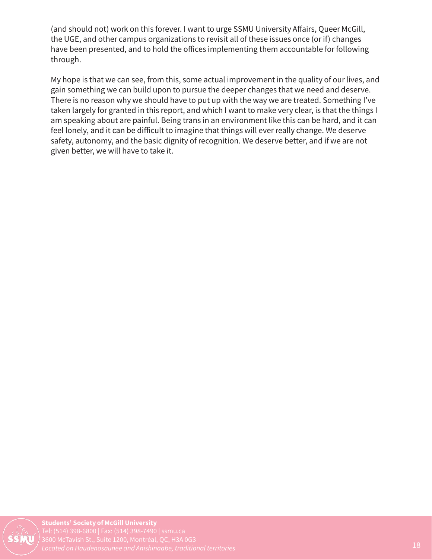(and should not) work on this forever. I want to urge SSMU University Affairs, Queer McGill, the UGE, and other campus organizations to revisit all of these issues once (or if) changes have been presented, and to hold the offices implementing them accountable for following through.

My hope is that we can see, from this, some actual improvement in the quality of our lives, and gain something we can build upon to pursue the deeper changes that we need and deserve. There is no reason why we should have to put up with the way we are treated. Something I've taken largely for granted in this report, and which I want to make very clear, is that the things I am speaking about are painful. Being trans in an environment like this can be hard, and it can feel lonely, and it can be difficult to imagine that things will ever really change. We deserve safety, autonomy, and the basic dignity of recognition. We deserve better, and if we are not given better, we will have to take it.

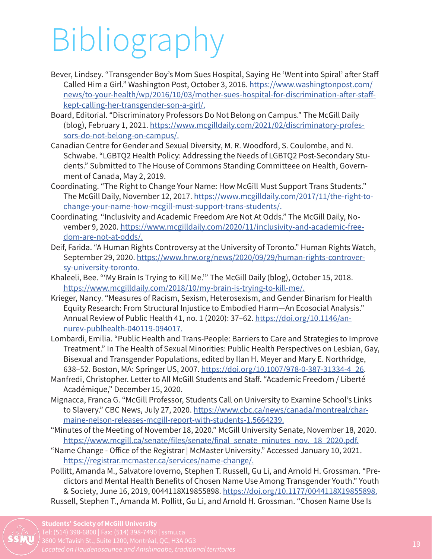# Bibliography

- Bever, Lindsey. "Transgender Boy's Mom Sues Hospital, Saying He 'Went into Spiral' after Staff Called Him a Girl." Washington Post, October 3, 2016. https://www.washingtonpost.com/ news/to-your-health/wp/2016/10/03/mother-sues-hospital-for-discrimination-after-staffkept-calling-her-transgender-son-a-girl/.
- Board, Editorial. "Discriminatory Professors Do Not Belong on Campus." The McGill Daily (blog), February 1, 2021. https://www.mcgilldaily.com/2021/02/discriminatory-professors-do-not-belong-on-campus/.
- Canadian Centre for Gender and Sexual Diversity, M. R. Woodford, S. Coulombe, and N. Schwabe. "LGBTQ2 Health Policy: Addressing the Needs of LGBTQ2 Post-Secondary Students." Submitted to The House of Commons Standing Committeee on Health, Government of Canada, May 2, 2019.
- Coordinating. "The Right to Change Your Name: How McGill Must Support Trans Students." The McGill Daily, November 12, 2017. https://www.mcgilldaily.com/2017/11/the-right-tochange-your-name-how-mcgill-must-support-trans-students/.
- Coordinating. "Inclusivity and Academic Freedom Are Not At Odds." The McGill Daily, November 9, 2020. https://www.mcgilldaily.com/2020/11/inclusivity-and-academic-freedom-are-not-at-odds/.
- Deif, Farida. "A Human Rights Controversy at the University of Toronto." Human Rights Watch, September 29, 2020. https://www.hrw.org/news/2020/09/29/human-rights-controversy-university-toronto.
- Khaleeli, Bee. "'My Brain Is Trying to Kill Me.'" The McGill Daily (blog), October 15, 2018. https://www.mcgilldaily.com/2018/10/my-brain-is-trying-to-kill-me/.
- Krieger, Nancy. "Measures of Racism, Sexism, Heterosexism, and Gender Binarism for Health Equity Research: From Structural Injustice to Embodied Harm—An Ecosocial Analysis." Annual Review of Public Health 41, no. 1 (2020): 37–62. https://doi.org/10.1146/annurev-publhealth-040119-094017.
- Lombardi, Emilia. "Public Health and Trans-People: Barriers to Care and Strategies to Improve Treatment." In The Health of Sexual Minorities: Public Health Perspectives on Lesbian, Gay, Bisexual and Transgender Populations, edited by Ilan H. Meyer and Mary E. Northridge, 638–52. Boston, MA: Springer US, 2007. https://doi.org/10.1007/978-0-387-31334-4\_26.
- Manfredi, Christopher. Letter to All McGill Students and Staff. "Academic Freedom / Liberté Académique," December 15, 2020.
- Mignacca, Franca G. "McGill Professor, Students Call on University to Examine School's Links to Slavery." CBC News, July 27, 2020. https://www.cbc.ca/news/canada/montreal/charmaine-nelson-releases-mcgill-report-with-students-1.5664239.
- "Minutes of the Meeting of November 18, 2020." McGill University Senate, November 18, 2020. https://www.mcgill.ca/senate/files/senate/final\_senate\_minutes\_nov.\_18\_2020.pdf.
- "Name Change Office of the Registrar | McMaster University." Accessed January 10, 2021. https://registrar.mcmaster.ca/services/name-change/.
- Pollitt, Amanda M., Salvatore Ioverno, Stephen T. Russell, Gu Li, and Arnold H. Grossman. "Predictors and Mental Health Benefits of Chosen Name Use Among Transgender Youth." Youth & Society, June 16, 2019, 0044118X19855898. https://doi.org/10.1177/0044118X19855898. Russell, Stephen T., Amanda M. Pollitt, Gu Li, and Arnold H. Grossman. "Chosen Name Use Is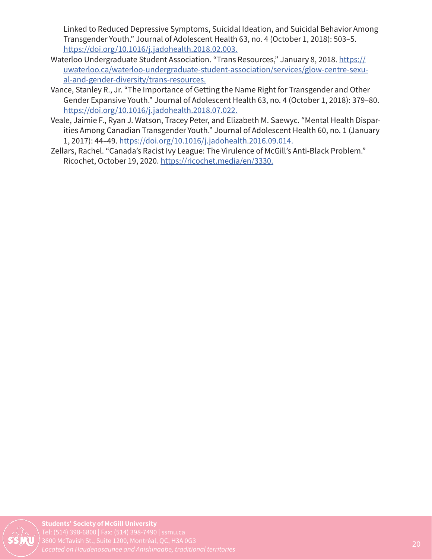Linked to Reduced Depressive Symptoms, Suicidal Ideation, and Suicidal Behavior Among Transgender Youth." Journal of Adolescent Health 63, no. 4 (October 1, 2018): 503–5. https://doi.org/10.1016/j.jadohealth.2018.02.003.

- Waterloo Undergraduate Student Association. "Trans Resources," January 8, 2018. https:// uwaterloo.ca/waterloo-undergraduate-student-association/services/glow-centre-sexual-and-gender-diversity/trans-resources.
- Vance, Stanley R., Jr. "The Importance of Getting the Name Right for Transgender and Other Gender Expansive Youth." Journal of Adolescent Health 63, no. 4 (October 1, 2018): 379–80. https://doi.org/10.1016/j.jadohealth.2018.07.022.
- Veale, Jaimie F., Ryan J. Watson, Tracey Peter, and Elizabeth M. Saewyc. "Mental Health Disparities Among Canadian Transgender Youth." Journal of Adolescent Health 60, no. 1 (January 1, 2017): 44–49. https://doi.org/10.1016/j.jadohealth.2016.09.014.
- Zellars, Rachel. "Canada's Racist Ivy League: The Virulence of McGill's Anti-Black Problem." Ricochet, October 19, 2020. https://ricochet.media/en/3330.